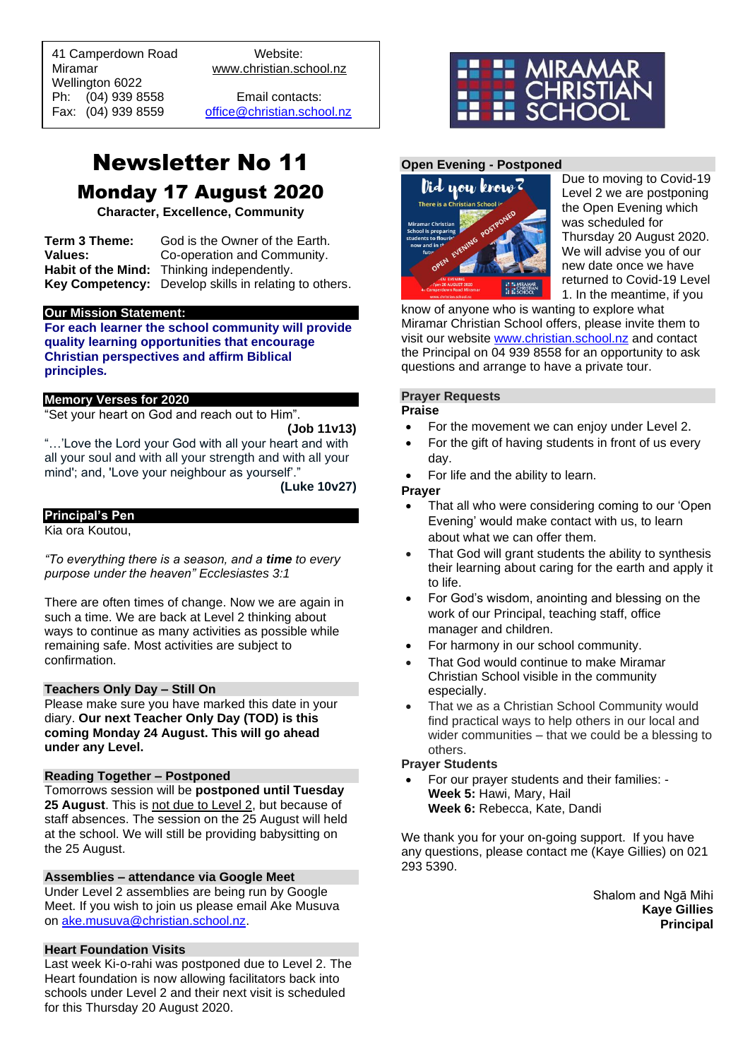41 Camperdown Road Website:<br>Miramar Www.christian.sc Wellington 6022 Ph: (04) 939 8558 Email contacts:

 $\overline{a}$ 

www.christian.school.nz

Fax: (04) 939 8559 [office@christian.school.nz](mailto:office@christian.school.nz)

# Newsletter No 11 Monday 17 August 2020

**Character, Excellence, Community**

**Term 3 Theme:** God is the Owner of the Earth. **Values:** Co-operation and Community. **Habit of the Mind:** Thinking independently. **Key Competency:** Develop skills in relating to others.

#### **Our Mission Statement:**

**For each learner the school community will provide quality learning opportunities that encourage Christian perspectives and affirm Biblical principles***.*

#### **Memory Verses for 2020**

"Set your heart on God and reach out to Him".

**(Job 11v13)**

"…'Love the Lord your God with all your heart and with all your soul and with all your strength and with all your mind'; and, 'Love your neighbour as yourself'."

**(Luke 10v27)**

#### **Principal's Pen**

Kia ora Koutou,

*"To everything there is a season, and a time to every purpose under the heaven" Ecclesiastes 3:1*

There are often times of change. Now we are again in such a time. We are back at Level 2 thinking about ways to continue as many activities as possible while remaining safe. Most activities are subject to confirmation.

## **Teachers Only Day – Still On**

Please make sure you have marked this date in your diary. **Our next Teacher Only Day (TOD) is this coming Monday 24 August. This will go ahead under any Level.**

## **Reading Together – Postponed**

Tomorrows session will be **postponed until Tuesday 25 August**. This is not due to Level 2, but because of staff absences. The session on the 25 August will held at the school. We will still be providing babysitting on the 25 August.

# **Assemblies – attendance via Google Meet**

Under Level 2 assemblies are being run by Google Meet. If you wish to join us please email Ake Musuva on [ake.musuva@christian.school.nz.](mailto:ake.musuva@christian.school.nz)

#### **Heart Foundation Visits**

Last week Ki-o-rahi was postponed due to Level 2. The Heart foundation is now allowing facilitators back into schools under Level 2 and their next visit is scheduled for this Thursday 20 August 2020.



# **Open Evening - Postponed**



Due to moving to Covid-19 Level 2 we are postponing the Open Evening which was scheduled for Thursday 20 August 2020. We will advise you of our new date once we have returned to Covid-19 Level 1. In the meantime, if you

know of anyone who is wanting to explore what Miramar Christian School offers, please invite them to visit our website [www.christian.school.nz](http://www.christian.school.nz/) and contact the Principal on 04 939 8558 for an opportunity to ask questions and arrange to have a private tour.

# **Prayer Requests**

# **Praise**

- For the movement we can enjoy under Level 2.
- For the gift of having students in front of us every day.
- For life and the ability to learn.

#### **Prayer**

- That all who were considering coming to our 'Open Evening' would make contact with us, to learn about what we can offer them.
- That God will grant students the ability to synthesis their learning about caring for the earth and apply it to life.
- For God's wisdom, anointing and blessing on the work of our Principal, teaching staff, office manager and children.
- For harmony in our school community.
- That God would continue to make Miramar Christian School visible in the community especially.
- That we as a Christian School Community would find practical ways to help others in our local and wider communities – that we could be a blessing to others.

#### **Prayer Students**

• For our prayer students and their families: - **Week 5:** Hawi, Mary, Hail **Week 6:** Rebecca, Kate, Dandi

We thank you for your on-going support. If you have any questions, please contact me (Kaye Gillies) on 021 293 5390.

> Shalom and Ngā Mihi **Kaye Gillies Principal**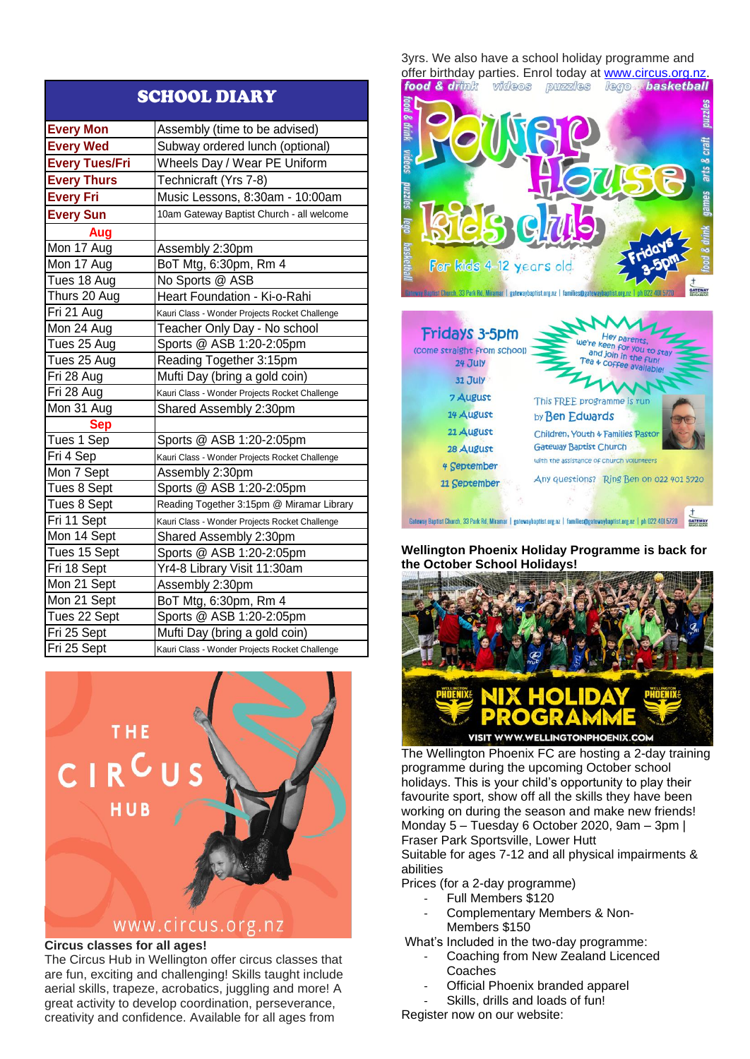| <b>SCHOOL DIARY</b>   |                                                |  |
|-----------------------|------------------------------------------------|--|
| <b>Every Mon</b>      | Assembly (time to be advised)                  |  |
| <b>Every Wed</b>      | Subway ordered lunch (optional)                |  |
| <b>Every Tues/Fri</b> | Wheels Day / Wear PE Uniform                   |  |
| <b>Every Thurs</b>    | Technicraft (Yrs 7-8)                          |  |
| <b>Every Fri</b>      | Music Lessons, 8:30am - 10:00am                |  |
| <b>Every Sun</b>      | 10am Gateway Baptist Church - all welcome      |  |
| Aug                   |                                                |  |
| Mon 17 Aug            | Assembly 2:30pm                                |  |
| Mon 17 Aug            | BoT Mtg, 6:30pm, Rm 4                          |  |
| Tues 18 Aug           | No Sports @ ASB                                |  |
| Thurs 20 Aug          | Heart Foundation - Ki-o-Rahi                   |  |
| Fri 21 Aug            | Kauri Class - Wonder Projects Rocket Challenge |  |
| Mon 24 Aug            | Teacher Only Day - No school                   |  |
| Tues 25 Aug           | Sports @ ASB 1:20-2:05pm                       |  |
| Tues 25 Aug           | Reading Together 3:15pm                        |  |
| Fri 28 Aug            | Mufti Day (bring a gold coin)                  |  |
| Fri 28 Aug            | Kauri Class - Wonder Projects Rocket Challenge |  |
| Mon 31 Aug            | Shared Assembly 2:30pm                         |  |
| <b>Sep</b>            |                                                |  |
| Tues 1 Sep            | Sports @ ASB 1:20-2:05pm                       |  |
| Fri 4 Sep             | Kauri Class - Wonder Projects Rocket Challenge |  |
| Mon 7 Sept            | Assembly 2:30pm                                |  |
| Tues 8 Sept           | Sports @ ASB 1:20-2:05pm                       |  |
| Tues 8 Sept           | Reading Together 3:15pm @ Miramar Library      |  |
| Fri 11 Sept           | Kauri Class - Wonder Projects Rocket Challenge |  |
| Mon 14 Sept           | Shared Assembly 2:30pm                         |  |
| Tues 15 Sept          | Sports @ ASB 1:20-2:05pm                       |  |
| Fri 18 Sept           | Yr4-8 Library Visit 11:30am                    |  |
| Mon 21 Sept           | Assembly 2:30pm                                |  |
| Mon 21 Sept           | BoT Mtg, 6:30pm, Rm 4                          |  |
| Tues 22 Sept          | Sports @ ASB 1:20-2:05pm                       |  |
| Fri 25 Sept           | Mufti Day (bring a gold coin)                  |  |
| Fri 25 Sept           | Kauri Class - Wonder Projects Rocket Challenge |  |



# **Circus classes for all ages!**

The Circus Hub in Wellington offer circus classes that are fun, exciting and challenging! Skills taught include aerial skills, trapeze, acrobatics, juggling and more! A great activity to develop coordination, perseverance, creativity and confidence. Available for all ages from

3yrs. We also have a school holiday programme and offer birthday parties. Enrol today at [www.circus.org.nz](http://www.circus.org.nz/).<br>**food & drimk** videos puzzles lego **hasketball** 



| <b>Fridays 3-5pm</b>        | Hey parents,                                                                                                          |
|-----------------------------|-----------------------------------------------------------------------------------------------------------------------|
| (Come straight from school) | we're keen for you to stay                                                                                            |
| 24 July                     | and join in the fun!                                                                                                  |
| 31 July                     | Tea + coffee available!                                                                                               |
| 7 August                    | This FREE programme is run                                                                                            |
| 14 August                   | by Ben Edwards                                                                                                        |
| 21 August                   | Children, Youth & Families Pastor                                                                                     |
| 28 August                   | <b>Gateway Baptist Church</b>                                                                                         |
| 4 September                 | with the assistance of church volunteers                                                                              |
| 11 September                | Any questions? Ring Ben on 022 401 5720                                                                               |
|                             | Gateway Baptist Church, 33 Park Rd, Miramar   gatewaybaptist.org.nz   families@gatewaybaptist.org.nz   ph 022 4015720 |

**Wellington Phoenix Holiday Programme is back for the October School Holidays!**



The Wellington Phoenix FC are hosting a 2-day training programme during the upcoming October school holidays. This is your child's opportunity to play their favourite sport, show off all the skills they have been working on during the season and make new friends! Monday 5 – Tuesday 6 October 2020, 9am – 3pm | Fraser Park Sportsville, Lower Hutt Suitable for ages 7-12 and all physical impairments &

abilities

- Prices (for a 2-day programme)
	- Full Members \$120
	- Complementary Members & Non-Members \$150
- What's Included in the two-day programme:
	- Coaching from New Zealand Licenced **Coaches**
	- Official Phoenix branded apparel
	- Skills, drills and loads of fun!

Register now on our website: